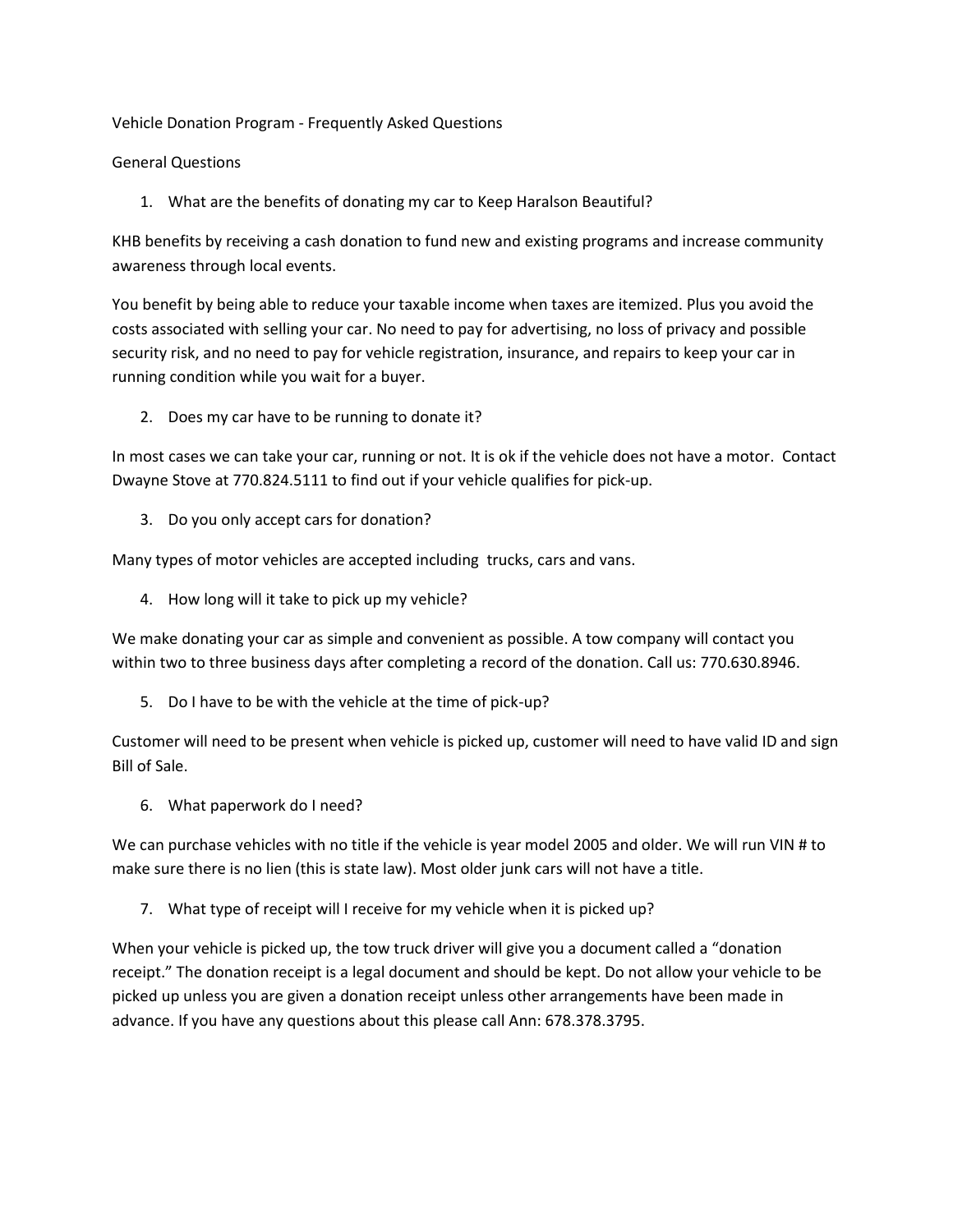Vehicle Donation Program - Frequently Asked Questions

## General Questions

1. What are the benefits of donating my car to Keep Haralson Beautiful?

KHB benefits by receiving a cash donation to fund new and existing programs and increase community awareness through local events.

You benefit by being able to reduce your taxable income when taxes are itemized. Plus you avoid the costs associated with selling your car. No need to pay for advertising, no loss of privacy and possible security risk, and no need to pay for vehicle registration, insurance, and repairs to keep your car in running condition while you wait for a buyer.

2. Does my car have to be running to donate it?

In most cases we can take your car, running or not. It is ok if the vehicle does not have a motor. Contact Dwayne Stove at 770.824.5111 to find out if your vehicle qualifies for pick-up.

3. Do you only accept cars for donation?

Many types of motor vehicles are accepted including trucks, cars and vans.

4. How long will it take to pick up my vehicle?

We make donating your car as simple and convenient as possible. A tow company will contact you within two to three business days after completing a record of the donation. Call us: 770.630.8946.

5. Do I have to be with the vehicle at the time of pick-up?

Customer will need to be present when vehicle is picked up, customer will need to have valid ID and sign Bill of Sale.

6. What paperwork do I need?

We can purchase vehicles with no title if the vehicle is year model 2005 and older. We will run VIN # to make sure there is no lien (this is state law). Most older junk cars will not have a title.

7. What type of receipt will I receive for my vehicle when it is picked up?

When your vehicle is picked up, the tow truck driver will give you a document called a "donation receipt." The donation receipt is a legal document and should be kept. Do not allow your vehicle to be picked up unless you are given a donation receipt unless other arrangements have been made in advance. If you have any questions about this please call Ann: 678.378.3795.